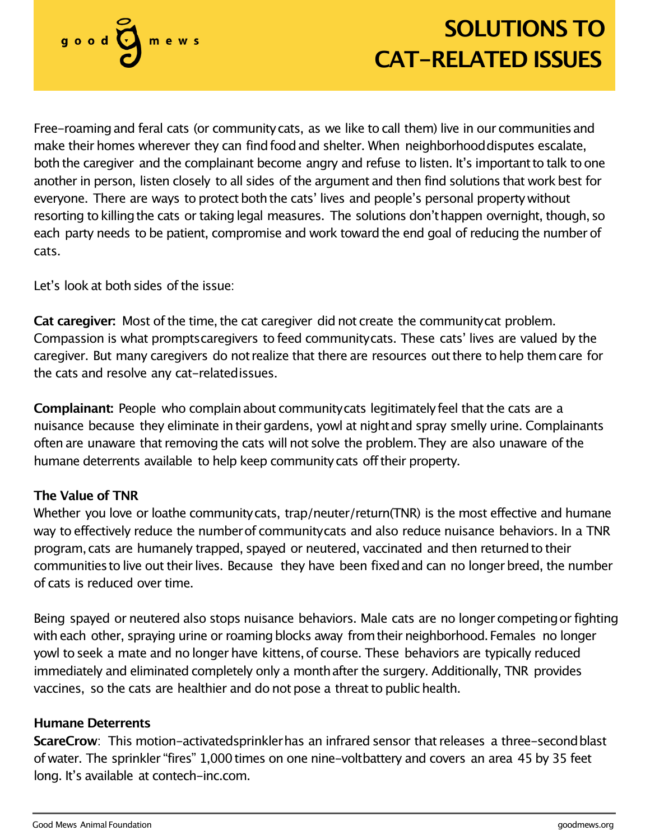## **SOLUTIONS TO CAT-RELATED ISSUES**

Free-roaming and feral cats (or community cats, as we like to call them) live in our communities and make their homes wherever they can findfoodand shelter. When neighborhooddisputes escalate, both the caregiver and the complainant become angry and refuse to listen. It's important to talk to one another in person, listen closely to all sides of the argument and then find solutions that work best for everyone. There are ways to protect both the cats' lives and people's personal property without resorting to killing the cats or taking legal measures. The solutions don't happen overnight, though, so each party needs to be patient, compromise and work toward the end goal of reducing the number of cats.

Let's look at both sides of the issue:

good gmews

**Cat caregiver:** Most of the time, the cat caregiver did not create the community cat problem. Compassion is what promptscaregivers to feed communitycats. These cats' lives are valued by the caregiver. But many caregivers do not realize that there are resources outthere tohelp themcare for the cats and resolve any cat-relatedissues.

**Complainant:** People who complain about community cats legitimately feel that the cats are a nuisance because they eliminate intheir gardens, yowl at nightand spray smelly urine. Complainants often are unaware that removing the cats will not solve the problem.They are also unaware ofthe humane deterrents available to help keep community cats off their property.

## **The Value of TNR**

Whether you love or loathe community cats, trap/neuter/return(TNR) is the most effective and humane way to effectively reduce the numberof communitycats and also reduce nuisance behaviors. In a TNR program,cats are humanely trapped, spayed or neutered, vaccinated and then returnedto their communities to live out their lives. Because they have been fixed and can no longer breed, the number of cats is reduced over time.

**Don't like cats in your yard?** vaccines, so the cats are healthier and do notpose a threatto publichealth. Being spayed or neutered also stops nuisance behaviors. Male cats are no longer competingor fighting with each other, spraying urine or roaming blocks away from their neighborhood. Females no longer yowl toseek a mate and no longer have kittens,of course. These behaviors are typically reduced immediately and eliminated completely only a monthafter the surgery. Additionally, TNR provides

## **Humane Deterrents**

**ScareCrow**: This motion-activatedsprinkler has an infrared sensor that releases a three-second blast of water. The sprinkler "fires" 1,000 times on one nine-voltbattery and covers an area 45 by 35 feet long. It's available at contech-inc.com.